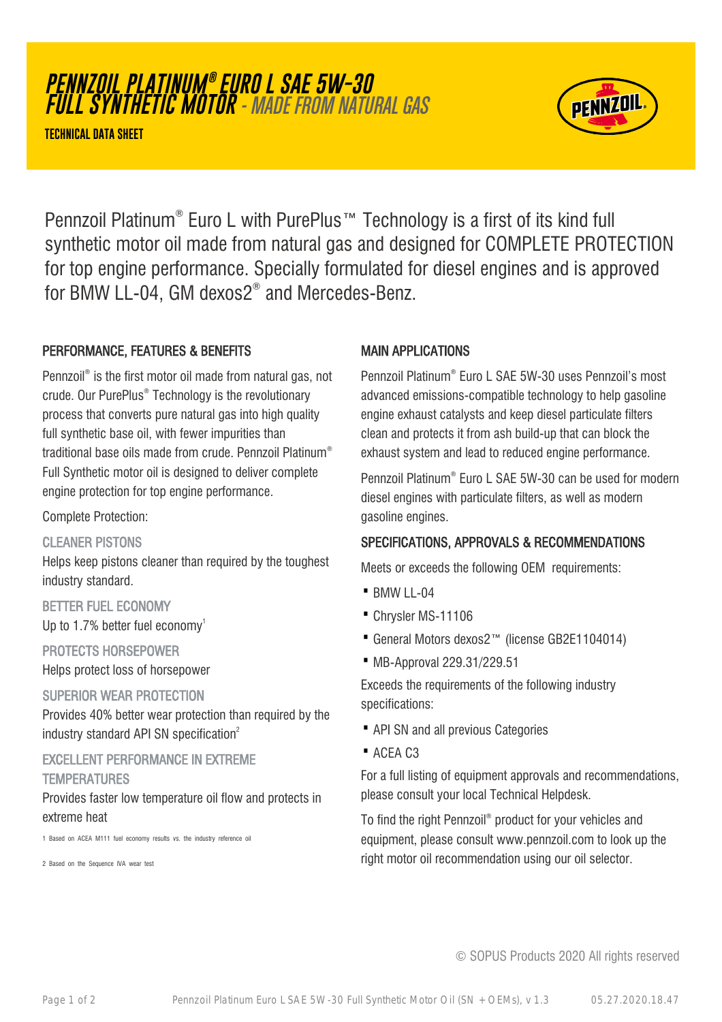**PENNZOIL PLATINUM ® EURO L SAE 5W-30 FULL SYNTHETIC MOTOR** - MADE FROM NATURAL GAS

**TECHNICAL DATA SHEET**



Pennzoil Platinum® Euro L with PurePlus™ Technology is a first of its kind full synthetic motor oil made from natural gas and designed for COMPLETE PROTECTION for top engine performance. Specially formulated for diesel engines and is approved for BMW LL-04, GM dexos2® and Mercedes-Benz.

# PERFORMANCE, FEATURES & BENEFITS

Pennzoil® is the first motor oil made from natural gas, not crude. Our PurePlus® Technology is the revolutionary process that converts pure natural gas into high quality full synthetic base oil, with fewer impurities than traditional base oils made from crude. Pennzoil Platinum® Full Synthetic motor oil is designed to deliver complete engine protection for top engine performance.

Complete Protection:

## CLEANER PISTONS

Helps keep pistons cleaner than required by the toughest industry standard.

## BETTER FUEL ECONOMY

Up to 1.7% better fuel economy<sup>1</sup>

PROTECTS HORSEPOWER

Helps protect loss of horsepower

## SUPERIOR WEAR PROTECTION

Provides 40% better wear protection than required by the industry standard API SN specification<sup>2</sup>

## EXCELLENT PERFORMANCE IN EXTREME **TEMPERATURES**

Provides faster low temperature oil flow and protects in

#### extreme heat

1 Based on ACEA M111 fuel economy results vs. the industry reference oil

2 Based on the Sequence IVA wear test

# MAIN APPLICATIONS

Pennzoil Platinum® Euro L SAE 5W-30 uses Pennzoil's most advanced emissions-compatible technology to help gasoline engine exhaust catalysts and keep diesel particulate filters clean and protects it from ash build-up that can block the exhaust system and lead to reduced engine performance.

Pennzoil Platinum® Euro L SAE 5W-30 can be used for modern diesel engines with particulate filters, as well as modern gasoline engines.

# SPECIFICATIONS, APPROVALS & RECOMMENDATIONS

Meets or exceeds the following OEM requirements:

- $\bullet$  BMW II-04
- · Chrysler MS-11106
- · General Motors dexos2™ (license GB2E1104014)
- · MB-Approval 229.31/229.51

Exceeds the requirements of the following industry specifications:

- · API SN and all previous Categories
- · ACEA C3

For a full listing of equipment approvals and recommendations, please consult your local Technical Helpdesk.

To find the right Pennzoil® product for your vehicles and equipment, please consult www.pennzoil.com to look up the right motor oil recommendation using our oil selector.

© SOPUS Products 2020 All rights reserved